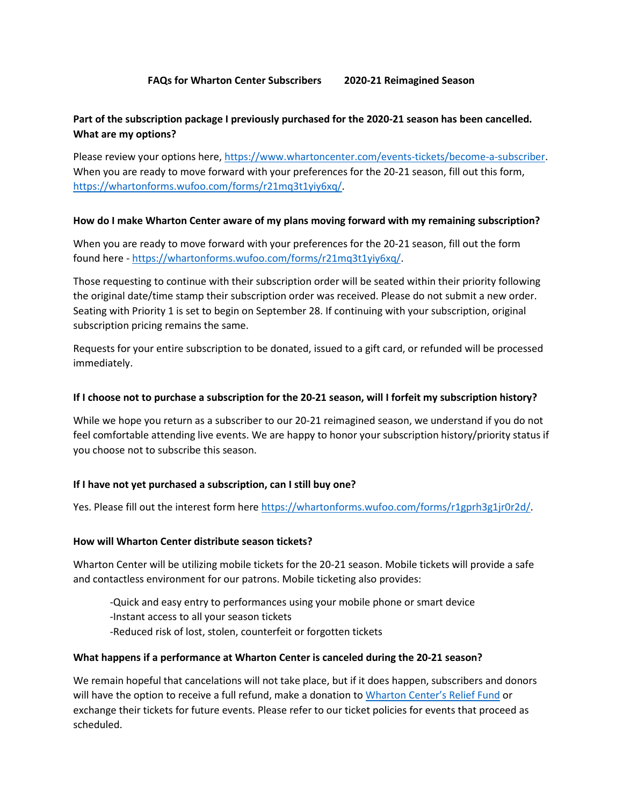# **Part of the subscription package I previously purchased for the 2020-21 season has been cancelled. What are my options?**

Please review your options here[, https://www.whartoncenter.com/events-tickets/become-a-subscriber.](https://www.whartoncenter.com/events-tickets/become-a-subscriber) When you are ready to move forward with your preferences for the 20-21 season, fill out this form, [https://whartonforms.wufoo.com/forms/r21mq3t1yiy6xq/.](https://whartonforms.wufoo.com/forms/r21mq3t1yiy6xq/)

## **How do I make Wharton Center aware of my plans moving forward with my remaining subscription?**

When you are ready to move forward with your preferences for the 20-21 season, fill out the form found here - [https://whartonforms.wufoo.com/forms/r21mq3t1yiy6xq/.](https://whartonforms.wufoo.com/forms/r21mq3t1yiy6xq/)

Those requesting to continue with their subscription order will be seated within their priority following the original date/time stamp their subscription order was received. Please do not submit a new order. Seating with Priority 1 is set to begin on September 28. If continuing with your subscription, original subscription pricing remains the same.

Requests for your entire subscription to be donated, issued to a gift card, or refunded will be processed immediately.

#### **If I choose not to purchase a subscription for the 20-21 season, will I forfeit my subscription history?**

While we hope you return as a subscriber to our 20-21 reimagined season, we understand if you do not feel comfortable attending live events. We are happy to honor your subscription history/priority status if you choose not to subscribe this season.

## **If I have not yet purchased a subscription, can I still buy one?**

Yes. Please fill out the interest form here [https://whartonforms.wufoo.com/forms/r1gprh3g1jr0r2d/.](https://whartonforms.wufoo.com/forms/r1gprh3g1jr0r2d/)

#### **How will Wharton Center distribute season tickets?**

Wharton Center will be utilizing mobile tickets for the 20-21 season. Mobile tickets will provide a safe and contactless environment for our patrons. Mobile ticketing also provides:

- -Quick and easy entry to performances using your mobile phone or smart device
- -Instant access to all your season tickets
- -Reduced risk of lost, stolen, counterfeit or forgotten tickets

#### **What happens if a performance at Wharton Center is canceled during the 20-21 season?**

We remain hopeful that cancelations will not take place, but if it does happen, subscribers and donors will have the option to receive a full refund, make a donation to [Wharton Center's Relief Fund](https://www.whartoncenter.com/support/relief-fund) or exchange their tickets for future events. Please refer to our ticket policies for events that proceed as scheduled.